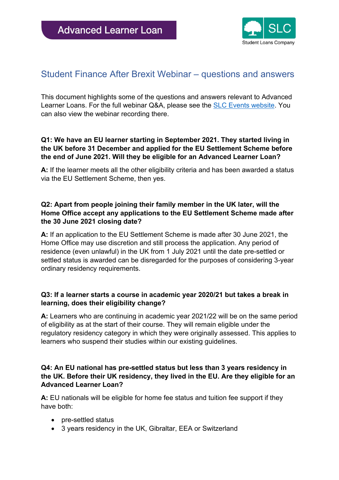

# Student Finance After Brexit Webinar – questions and answers

This document highlights some of the questions and answers relevant to Advanced Learner Loans. For the full webinar Q&A, please see the [SLC Events website.](https://events-slc.co.uk/home/slc-resources/resource4) You can also view the webinar recording there.

## **Q1: We have an EU learner starting in September 2021. They started living in the UK before 31 December and applied for the EU Settlement Scheme before the end of June 2021. Will they be eligible for an Advanced Learner Loan?**

**A:** If the learner meets all the other eligibility criteria and has been awarded a status via the EU Settlement Scheme, then yes.

## **Q2: Apart from people joining their family member in the UK later, will the Home Office accept any applications to the EU Settlement Scheme made after the 30 June 2021 closing date?**

**A:** If an application to the EU Settlement Scheme is made after 30 June 2021, the Home Office may use discretion and still process the application. Any period of residence (even unlawful) in the UK from 1 July 2021 until the date pre-settled or settled status is awarded can be disregarded for the purposes of considering 3-year ordinary residency requirements.

## **Q3: If a learner starts a course in academic year 2020/21 but takes a break in learning, does their eligibility change?**

**A:** Learners who are continuing in academic year 2021/22 will be on the same period of eligibility as at the start of their course. They will remain eligible under the regulatory residency category in which they were originally assessed. This applies to learners who suspend their studies within our existing guidelines.

## **Q4: An EU national has pre-settled status but less than 3 years residency in the UK. Before their UK residency, they lived in the EU. Are they eligible for an Advanced Learner Loan?**

**A:** EU nationals will be eligible for home fee status and tuition fee support if they have both:

- pre-settled status
- 3 years residency in the UK, Gibraltar, EEA or Switzerland